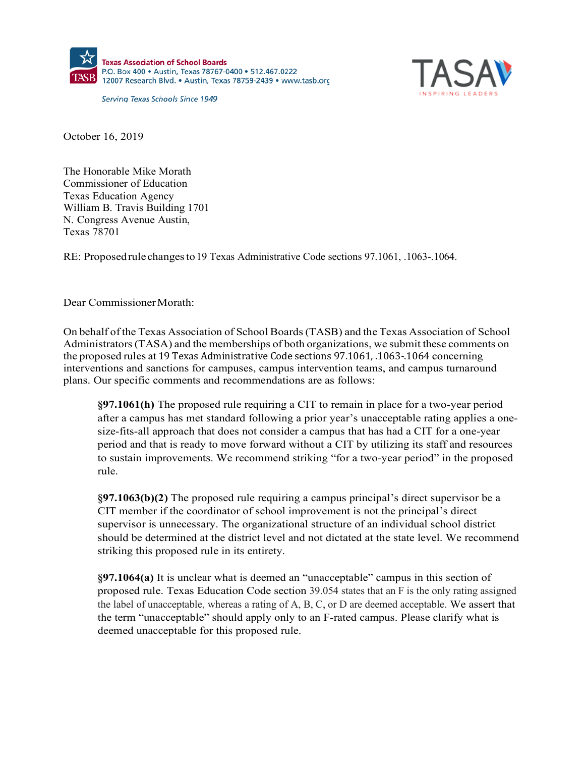

Serving Texas Schools Since 1949



October 16, 2019

The Honorable Mike Morath Commissioner of Education Texas Education Agency William B. Travis Building 1701 N. Congress Avenue Austin, Texas 78701

RE: Proposedrule changesto19 Texas Administrative Code sections 97.1061, .1063-.1064.

Dear Commissioner Morath:

On behalf of the Texas Association of School Boards(TASB) and the Texas Association of School Administrators(TASA) and the memberships of both organizations, we submit these comments on the proposed rules at 19 Texas Administrative Code sections 97.1061, .1063-.1064 concerning interventions and sanctions for campuses, campus intervention teams, and campus turnaround plans. Our specific comments and recommendations are as follows:

**§97.1061(h)** The proposed rule requiring a CIT to remain in place for a two-year period after a campus has met standard following a prior year's unacceptable rating applies a onesize-fits-all approach that does not consider a campus that has had a CIT for a one-year period and that is ready to move forward without a CIT by utilizing its staff and resources to sustain improvements. We recommend striking "for a two-year period" in the proposed rule.

**§97.1063(b)(2)** The proposed rule requiring a campus principal's direct supervisor be a CIT member if the coordinator of school improvement is not the principal's direct supervisor is unnecessary. The organizational structure of an individual school district should be determined at the district level and not dictated at the state level. We recommend striking this proposed rule in its entirety.

**§97.1064(a)** It is unclear what is deemed an "unacceptable" campus in this section of proposed rule. Texas Education Code section 39.054 states that an F is the only rating assigned the label of unacceptable, whereas a rating of A, B, C, or D are deemed acceptable. We assert that the term "unacceptable" should apply only to an F-rated campus. Please clarify what is deemed unacceptable for this proposed rule.